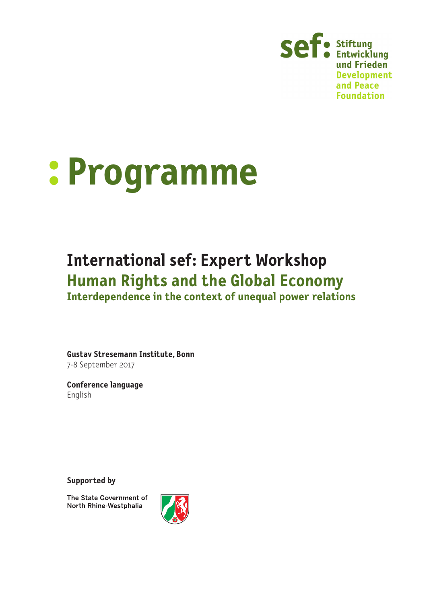

# **: Programme**

# **International sef: Expert Workshop Human Rights and the Global Economy**

**Interdependence in the context of unequal power relations**

**Gustav Stresemann Institute, Bonn** 7-8 September 2017

**Conference language** English

**Supported by**

The State Government of North Rhine-Westphalia

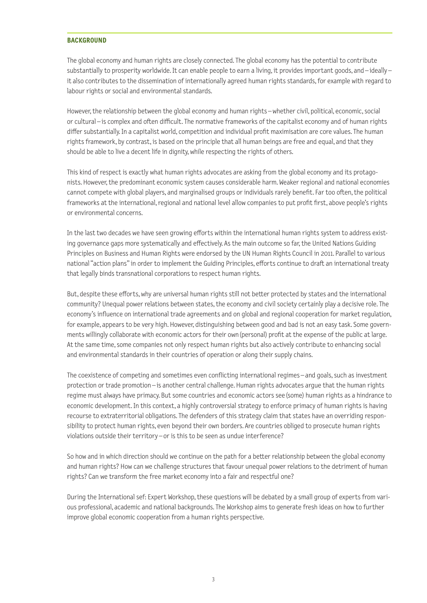#### **BACKGROUND**

The global economy and human rights are closely connected. The global economy has the potential to contribute substantially to prosperity worldwide. It can enable people to earn a living, it provides important goods, and – ideally – it also contributes to the dissemination of internationally agreed human rights standards, for example with regard to labour rights or social and environmental standards.

However, the relationship between the global economy and human rights – whether civil, political, economic, social or cultural – is complex and often difficult. The normative frameworks of the capitalist economy and of human rights differ substantially. In a capitalist world, competition and individual profit maximisation are core values. The human rights framework, by contrast, is based on the principle that all human beings are free and equal, and that they should be able to live a decent life in dignity, while respecting the rights of others.

This kind of respect is exactly what human rights advocates are asking from the global economy and its protagonists. However, the predominant economic system causes considerable harm. Weaker regional and national economies cannot compete with global players, and marginalised groups or individuals rarely benefit. Far too often, the political frameworks at the international, regional and national level allow companies to put profit first, above people's rights or environmental concerns.

In the last two decades we have seen growing efforts within the international human rights system to address existing governance gaps more systematically and effectively. As the main outcome so far, the United Nations Guiding Principles on Business and Human Rights were endorsed by the UN Human Rights Council in 2011. Parallel to various national "action plans" in order to implement the Guiding Principles, efforts continue to draft an international treaty that legally binds transnational corporations to respect human rights.

But, despite these efforts, why are universal human rights still not better protected by states and the international community? Unequal power relations between states, the economy and civil society certainly play a decisive role. The economy's influence on international trade agreements and on global and regional cooperation for market regulation, for example, appears to be very high. However, distinguishing between good and bad is not an easy task. Some governments willingly collaborate with economic actors for their own (personal) profit at the expense of the public at large. At the same time, some companies not only respect human rights but also actively contribute to enhancing social and environmental standards in their countries of operation or along their supply chains.

The coexistence of competing and sometimes even conflicting international regimes – and goals, such as investment protection or trade promotion – is another central challenge. Human rights advocates argue that the human rights regime must always have primacy. But some countries and economic actors see (some) human rights as a hindrance to economic development. In this context, a highly controversial strategy to enforce primacy of human rights is having recourse to extraterritorial obligations. The defenders of this strategy claim that states have an overriding responsibility to protect human rights, even beyond their own borders. Are countries obliged to prosecute human rights violations outside their territory – or is this to be seen as undue interference?

So how and in which direction should we continue on the path for a better relationship between the global economy and human rights? How can we challenge structures that favour unequal power relations to the detriment of human rights? Can we transform the free market economy into a fair and respectful one?

During the International sef: Expert Workshop, these questions will be debated by a small group of experts from various professional, academic and national backgrounds. The Workshop aims to generate fresh ideas on how to further improve global economic cooperation from a human rights perspective.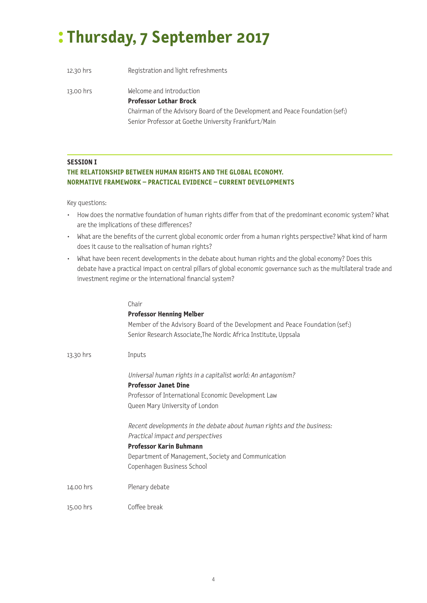# **: Thursday, 7 September 2017**

| 12.30 hrs | Registration and light refreshments                                                                                                        |
|-----------|--------------------------------------------------------------------------------------------------------------------------------------------|
| 13.00 hrs | Welcome and introduction<br><b>Professor Lothar Brock</b><br>Chairman of the Advisory Board of the Development and Peace Foundation (sef.) |
|           | Senior Professor at Goethe University Frankfurt/Main                                                                                       |

### **SESSION I**

# **THE RELATIONSHIP BETWEEN HUMAN RIGHTS AND THE GLOBAL ECONOMY. NORMATIVE FRAMEWORK – PRACTICAL EVIDENCE – CURRENT DEVELOPMENTS**

- How does the normative foundation of human rights differ from that of the predominant economic system? What are the implications of these differences?
- What are the benefits of the current global economic order from a human rights perspective? What kind of harm does it cause to the realisation of human rights?
- What have been recent developments in the debate about human rights and the global economy? Does this debate have a practical impact on central pillars of global economic governance such as the multilateral trade and investment regime or the international financial system?

|           | Chair                                                                       |
|-----------|-----------------------------------------------------------------------------|
|           | <b>Professor Henning Melber</b>                                             |
|           | Member of the Advisory Board of the Development and Peace Foundation (sef:) |
|           | Senior Research Associate, The Nordic Africa Institute, Uppsala             |
| 13.30 hrs | Inputs                                                                      |
|           | Universal human rights in a capitalist world: An antagonism?                |
|           | <b>Professor Janet Dine</b>                                                 |
|           | Professor of International Economic Development Law                         |
|           | Queen Mary University of London                                             |
|           | Recent developments in the debate about human rights and the business:      |
|           | Practical impact and perspectives                                           |
|           | <b>Professor Karin Buhmann</b>                                              |
|           | Department of Management, Society and Communication                         |
|           | Copenhagen Business School                                                  |
| 14.00 hrs | Plenary debate                                                              |
| 15.00 hrs | Coffee break                                                                |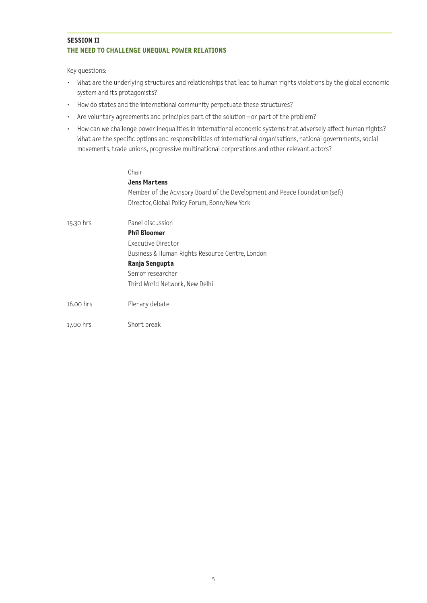### **SESSION II THE NEED TO CHALLENGE UNEQUAL POWER RELATIONS**

Key questions:

- What are the underlying structures and relationships that lead to human rights violations by the global economic system and its protagonists?
- How do states and the international community perpetuate these structures?
- Are voluntary agreements and principles part of the solution or part of the problem?
- How can we challenge power inequalities in international economic systems that adversely affect human rights? What are the specific options and responsibilities of international organisations, national governments, social movements, trade unions, progressive multinational corporations and other relevant actors?

#### Chair

|           | <b>Jens Martens</b><br>Member of the Advisory Board of the Development and Peace Foundation (sef:)<br>Director, Global Policy Forum, Bonn/New York |
|-----------|----------------------------------------------------------------------------------------------------------------------------------------------------|
| 15.30 hrs | Panel discussion                                                                                                                                   |
|           | <b>Phil Bloomer</b>                                                                                                                                |
|           | Executive Director                                                                                                                                 |
|           | Business & Human Rights Resource Centre, London                                                                                                    |
|           | Ranja Sengupta                                                                                                                                     |
|           | Senior researcher                                                                                                                                  |
|           | Third World Network, New Delhi                                                                                                                     |
| 16.00 hrs | Plenary debate                                                                                                                                     |
| 17.00 hrs | Short break                                                                                                                                        |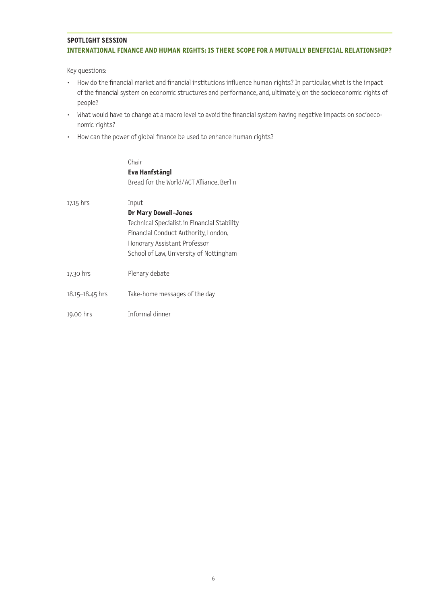## **SPOTLIGHT SESSION INTERNATIONAL FINANCE AND HUMAN RIGHTS: IS THERE SCOPE FOR A MUTUALLY BENEFICIAL RELATIONSHIP?**

- How do the financial market and financial institutions influence human rights? In particular, what is the impact of the financial system on economic structures and performance, and, ultimately, on the socioeconomic rights of people?
- What would have to change at a macro level to avoid the financial system having negative impacts on socioeconomic rights?
- How can the power of global finance be used to enhance human rights?

|                 | Chair                                       |
|-----------------|---------------------------------------------|
|                 | Eva Hanfstängl                              |
|                 | Bread for the World/ACT Alliance, Berlin    |
| 17.15 hrs       | Input                                       |
|                 | <b>Dr Mary Dowell-Jones</b>                 |
|                 | Technical Specialist in Financial Stability |
|                 | Financial Conduct Authority, London,        |
|                 | Honorary Assistant Professor                |
|                 | School of Law, University of Nottingham     |
|                 |                                             |
| 17.30 hrs       | Plenary debate                              |
| 18.15–18.45 hrs | Take-home messages of the day               |
| 19.00 hrs       | Informal dinner                             |
|                 |                                             |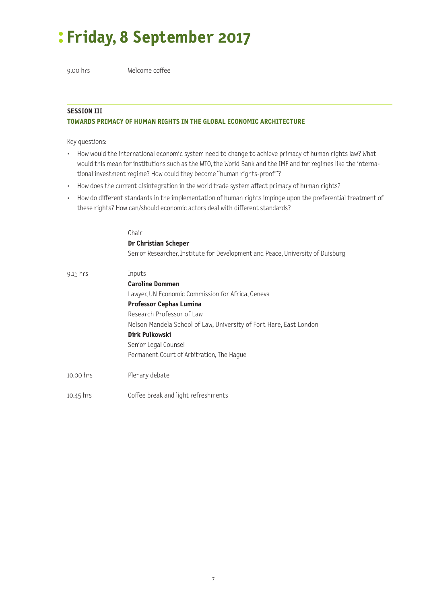# **: Friday, 8 September 2017**

9.00 hrs Welcome coffee

# **SESSION III**

# **TOWARDS PRIMACY OF HUMAN RIGHTS IN THE GLOBAL ECONOMIC ARCHITECTURE**

- How would the international economic system need to change to achieve primacy of human rights law? What would this mean for institutions such as the WTO, the World Bank and the IMF and for regimes like the international investment regime? How could they become "human rights-proof "?
- How does the current disintegration in the world trade system affect primacy of human rights?
- How do different standards in the implementation of human rights impinge upon the preferential treatment of these rights? How can/should economic actors deal with different standards?

|             | Chair                                                                          |
|-------------|--------------------------------------------------------------------------------|
|             | <b>Dr Christian Scheper</b>                                                    |
|             | Senior Researcher, Institute for Development and Peace, University of Duisburg |
| $9.15$ hrs  | Inputs                                                                         |
|             | <b>Caroline Dommen</b>                                                         |
|             | Lawyer, UN Economic Commission for Africa, Geneva                              |
|             | <b>Professor Cephas Lumina</b>                                                 |
|             | Research Professor of Law                                                      |
|             | Nelson Mandela School of Law, University of Fort Hare, East London             |
|             | Dirk Pulkowski                                                                 |
|             | Senior Legal Counsel                                                           |
|             | Permanent Court of Arbitration, The Hague                                      |
| 10.00 hrs   | Plenary debate                                                                 |
| $10.45$ hrs | Coffee break and light refreshments                                            |